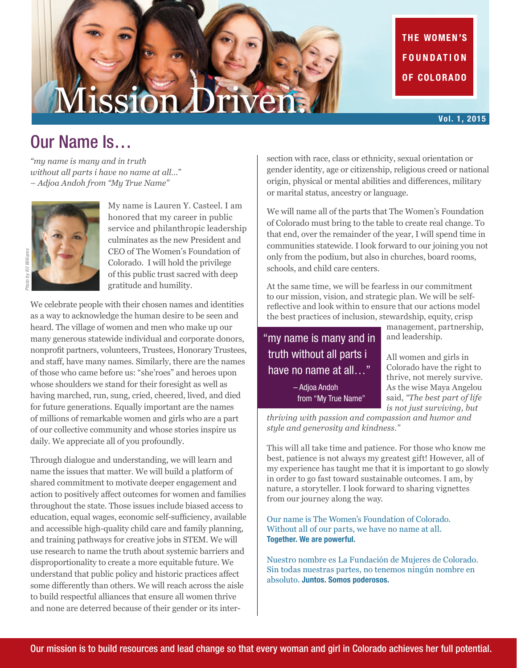# Mission Driven

THE WOMEN'S **FOUNDATION** OF COLORADO

#### Vol. 1, 2015

## Our Name Is…

*"my name is many and in truth without all parts i have no name at all…" – Adjoa Andoh from "My True Name"*



My name is Lauren Y. Casteel. I am honored that my career in public service and philanthropic leadership culminates as the new President and CEO of The Women's Foundation of Colorado. I will hold the privilege of this public trust sacred with deep gratitude and humility.

We celebrate people with their chosen names and identities as a way to acknowledge the human desire to be seen and heard. The village of women and men who make up our many generous statewide individual and corporate donors, nonprofit partners, volunteers, Trustees, Honorary Trustees, and staff, have many names. Similarly, there are the names of those who came before us: "she'roes" and heroes upon whose shoulders we stand for their foresight as well as having marched, run, sung, cried, cheered, lived, and died for future generations. Equally important are the names of millions of remarkable women and girls who are a part of our collective community and whose stories inspire us daily. We appreciate all of you profoundly.

Through dialogue and understanding, we will learn and name the issues that matter. We will build a platform of shared commitment to motivate deeper engagement and action to positively affect outcomes for women and families throughout the state. Those issues include biased access to education, equal wages, economic self-sufficiency, available and accessible high-quality child care and family planning, and training pathways for creative jobs in STEM. We will use research to name the truth about systemic barriers and disproportionality to create a more equitable future. We understand that public policy and historic practices affect some differently than others. We will reach across the aisle to build respectful alliances that ensure all women thrive and none are deterred because of their gender or its intersection with race, class or ethnicity, sexual orientation or gender identity, age or citizenship, religious creed or national origin, physical or mental abilities and differences, military or marital status, ancestry or language.

We will name all of the parts that The Women's Foundation of Colorado must bring to the table to create real change. To that end, over the remainder of the year, I will spend time in communities statewide. I look forward to our joining you not only from the podium, but also in churches, board rooms, schools, and child care centers.

At the same time, we will be fearless in our commitment to our mission, vision, and strategic plan. We will be selfreflective and look within to ensure that our actions model the best practices of inclusion, stewardship, equity, crisp

"my name is many and in truth without all parts i have no name at all..." – Adjoa Andoh from "My True Name"

management, partnership, and leadership.

All women and girls in Colorado have the right to thrive, not merely survive. As the wise Maya Angelou said, *"The best part of life is not just surviving, but* 

*thriving with passion and compassion and humor and style and generosity and kindness."*

This will all take time and patience. For those who know me best, patience is not always my greatest gift! However, all of my experience has taught me that it is important to go slowly in order to go fast toward sustainable outcomes. I am, by nature, a storyteller. I look forward to sharing vignettes from our journey along the way.

Our name is The Women's Foundation of Colorado. Without all of our parts, we have no name at all. Together. We are powerful.

Nuestro nombre es La Fundación de Mujeres de Colorado. Sin todas nuestras partes, no tenemos ningún nombre en absoluto. Juntos. Somos poderosos.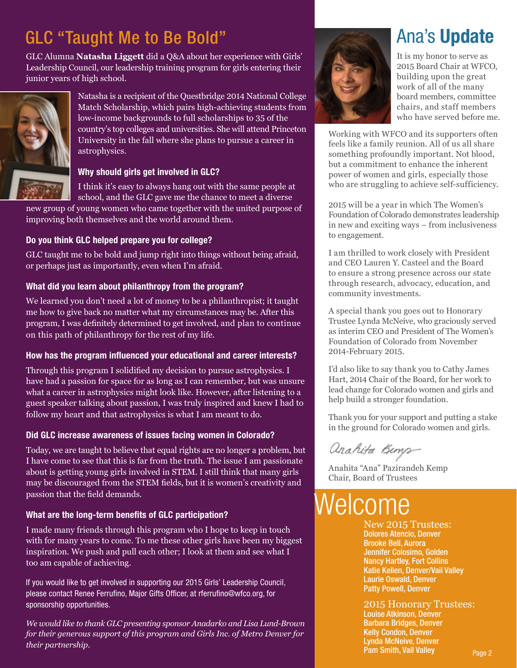## GLC "Taught Me to Be Bold"

GLC Alumna **Natasha Liggett** did a Q&A about her experience with Girls' Leadership Council, our leadership training program for girls entering their junior years of high school.



Natasha is a recipient of the Questbridge 2014 National College Match Scholarship, which pairs high-achieving students from low-income backgrounds to full scholarships to 35 of the country's top colleges and universities. She will attend Princeton University in the fall where she plans to pursue a career in astrophysics.

#### Why should girls get involved in GLC?

I think it's easy to always hang out with the same people at school, and the GLC gave me the chance to meet a diverse

new group of young women who came together with the united purpose of improving both themselves and the world around them.

#### Do you think GLC helped prepare you for college?

GLC taught me to be bold and jump right into things without being afraid, or perhaps just as importantly, even when I'm afraid.

#### What did you learn about philanthropy from the program?

We learned you don't need a lot of money to be a philanthropist; it taught me how to give back no matter what my circumstances may be. After this program, I was definitely determined to get involved, and plan to continue on this path of philanthropy for the rest of my life.

#### How has the program influenced your educational and career interests?

Through this program I solidified my decision to pursue astrophysics. I have had a passion for space for as long as I can remember, but was unsure what a career in astrophysics might look like. However, after listening to a guest speaker talking about passion, I was truly inspired and knew I had to follow my heart and that astrophysics is what I am meant to do.

#### Did GLC increase awareness of issues facing women in Colorado?

Today, we are taught to believe that equal rights are no longer a problem, but I have come to see that this is far from the truth. The issue I am passionate about is getting young girls involved in STEM. I still think that many girls may be discouraged from the STEM fields, but it is women's creativity and passion that the field demands.

#### What are the long-term benefits of GLC participation?

I made many friends through this program who I hope to keep in touch with for many years to come. To me these other girls have been my biggest inspiration. We push and pull each other; I look at them and see what I too am capable of achieving.

If you would like to get involved in supporting our 2015 Girls' Leadership Council, please contact Renee Ferrufino, Major Gifts Officer, at rferrufino@wfco.org, for sponsorship opportunities.

*We would like to thank GLC presenting sponsor Anadarko and Lisa Lund-Brown for their generous support of this program and Girls Inc. of Metro Denver for their partnership.*



## Ana's Update

It is my honor to serve as 2015 Board Chair at WFCO, building upon the great work of all of the many board members, committee chairs, and staff members who have served before me.

Working with WFCO and its supporters often feels like a family reunion. All of us all share something profoundly important. Not blood, but a commitment to enhance the inherent power of women and girls, especially those who are struggling to achieve self-sufficiency.

2015 will be a year in which The Women's Foundation of Colorado demonstrates leadership in new and exciting ways – from inclusiveness to engagement.

I am thrilled to work closely with President and CEO Lauren Y. Casteel and the Board to ensure a strong presence across our state through research, advocacy, education, and community investments.

A special thank you goes out to Honorary Trustee Lynda McNeive, who graciously served as interim CEO and President of The Women's Foundation of Colorado from November 2014-February 2015.

I'd also like to say thank you to Cathy James Hart, 2014 Chair of the Board, for her work to lead change for Colorado women and girls and help build a stronger foundation.

Thank you for your support and putting a stake in the ground for Colorado women and girls.

anahita Kinya

Anahita "Ana" Pazirandeh Kemp Chair, Board of Trustees

## Welcome

New 2015 Trustees: Dolores Atencio, Denver Brooke Bell, Aurora Jennifer Colosimo, Golden Nancy Hartley, Fort Collins Katie Kellen, Denver/Vail Valley Laurie Oswald, Denver Patty Powell, Denver

2015 Honorary Trustees:

Louise Atkinson, Denver Barbara Bridges, Denver Kelly Condon, Denver Lynda McNeive, Denver Pam Smith, Vail Valley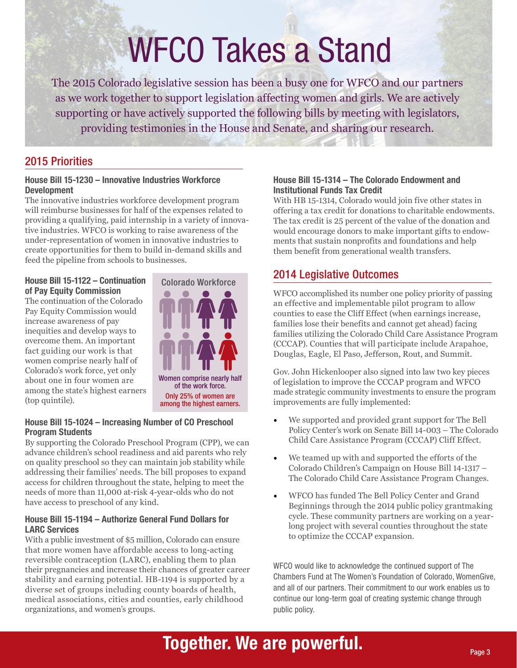# WFCO Takes a Stand

The 2015 Colorado legislative session has been a busy one for WFCO and our partners as we work together to support legislation affecting women and girls. We are actively supporting or have actively supported the following bills by meeting with legislators, providing testimonies in the House and Senate, and sharing our research.

#### 2015 Priorities

#### House Bill 15-1230 – Innovative Industries Workforce Development

The innovative industries workforce development program will reimburse businesses for half of the expenses related to providing a qualifying, paid internship in a variety of innovative industries. WFCO is working to raise awareness of the under-representation of women in innovative industries to create opportunities for them to build in-demand skills and feed the pipeline from schools to businesses.

#### House Bill 15-1122 – Continuation Colorado Workforce of Pay Equity Commission

The continuation of the Colorado Pay Equity Commission would increase awareness of pay inequities and develop ways to overcome them. An important fact guiding our work is that women comprise nearly half of Colorado's work force, yet only about one in four women are among the state's highest earners (top quintile).



#### House Bill 15-1024 – Increasing Number of CO Preschool Program Students

By supporting the Colorado Preschool Program (CPP), we can advance children's school readiness and aid parents who rely on quality preschool so they can maintain job stability while addressing their families' needs. The bill proposes to expand access for children throughout the state, helping to meet the needs of more than 11,000 at-risk 4-year-olds who do not have access to preschool of any kind.

#### House Bill 15-1194 – Authorize General Fund Dollars for LARC Services

With a public investment of \$5 million, Colorado can ensure that more women have affordable access to long-acting reversible contraception (LARC), enabling them to plan their pregnancies and increase their chances of greater career stability and earning potential. HB-1194 is supported by a diverse set of groups including county boards of health, medical associations, cities and counties, early childhood organizations, and women's groups.

#### House Bill 15-1314 – The Colorado Endowment and Institutional Funds Tax Credit

With HB 15-1314, Colorado would join five other states in offering a tax credit for donations to charitable endowments. The tax credit is 25 percent of the value of the donation and would encourage donors to make important gifts to endowments that sustain nonprofits and foundations and help them benefit from generational wealth transfers.

#### 2014 Legislative Outcomes

WFCO accomplished its number one policy priority of passing an effective and implementable pilot program to allow counties to ease the Cliff Effect (when earnings increase, families lose their benefits and cannot get ahead) facing families utilizing the Colorado Child Care Assistance Program (CCCAP). Counties that will participate include Arapahoe, Douglas, Eagle, El Paso, Jefferson, Rout, and Summit.

Gov. John Hickenlooper also signed into law two key pieces of legislation to improve the CCCAP program and WFCO made strategic community investments to ensure the program improvements are fully implemented:

- We supported and provided grant support for The Bell Policy Center's work on Senate Bill 14-003 – The Colorado Child Care Assistance Program (CCCAP) Cliff Effect.
- We teamed up with and supported the efforts of the Colorado Children's Campaign on House Bill 14-1317 – The Colorado Child Care Assistance Program Changes.
- WFCO has funded The Bell Policy Center and Grand Beginnings through the 2014 public policy grantmaking cycle. These community partners are working on a yearlong project with several counties throughout the state to optimize the CCCAP expansion.

WFCO would like to acknowledge the continued support of The Chambers Fund at The Women's Foundation of Colorado, WomenGive, and all of our partners. Their commitment to our work enables us to continue our long-term goal of creating systemic change through public policy.

## Together. We are powerful.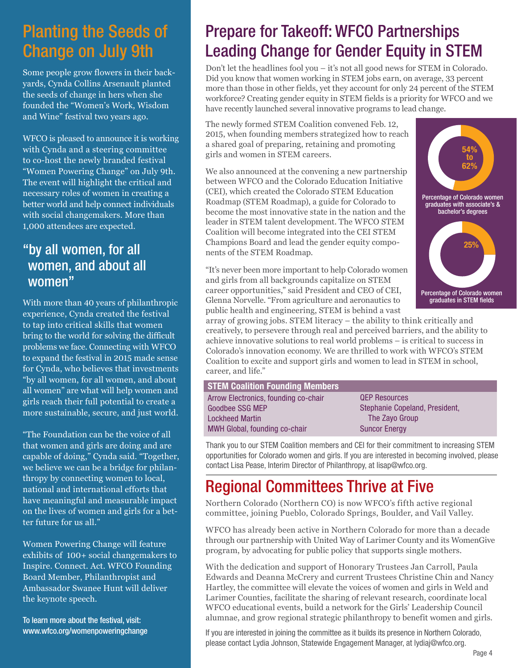## Planting the Seeds of Change on July 9th

Some people grow flowers in their backyards, Cynda Collins Arsenault planted the seeds of change in hers when she founded the "Women's Work, Wisdom and Wine" festival two years ago.

WFCO is pleased to announce it is working with Cynda and a steering committee to co-host the newly branded festival "Women Powering Change" on July 9th. The event will highlight the critical and necessary roles of women in creating a better world and help connect individuals with social changemakers. More than 1,000 attendees are expected.

### "by all women, for all women, and about all women"

With more than 40 years of philanthropic experience, Cynda created the festival to tap into critical skills that women bring to the world for solving the difficult problems we face. Connecting with WFCO to expand the festival in 2015 made sense for Cynda, who believes that investments "by all women, for all women, and about all women" are what will help women and girls reach their full potential to create a more sustainable, secure, and just world.

"The Foundation can be the voice of all that women and girls are doing and are capable of doing," Cynda said. "Together, we believe we can be a bridge for philanthropy by connecting women to local, national and international efforts that have meaningful and measurable impact on the lives of women and girls for a better future for us all."

Women Powering Change will feature exhibits of 100+ social changemakers to Inspire. Connect. Act. WFCO Founding Board Member, Philanthropist and Ambassador Swanee Hunt will deliver the keynote speech.

To learn more about the festival, visit: www.wfco.org/womenpoweringchange

## Prepare for Takeoff: WFCO Partnerships Leading Change for Gender Equity in STEM

Don't let the headlines fool you – it's not all good news for STEM in Colorado. Did you know that women working in STEM jobs earn, on average, 33 percent more than those in other fields, yet they account for only 24 percent of the STEM workforce? Creating gender equity in STEM fields is a priority for WFCO and we have recently launched several innovative programs to lead change.

The newly formed STEM Coalition convened Feb. 12, 2015, when founding members strategized how to reach a shared goal of preparing, retaining and promoting girls and women in STEM careers.

We also announced at the convening a new partnership between WFCO and the Colorado Education Initiative (CEI), which created the Colorado STEM Education Roadmap (STEM Roadmap), a guide for Colorado to become the most innovative state in the nation and the leader in STEM talent development. The WFCO STEM Coalition will become integrated into the CEI STEM Champions Board and lead the gender equity components of the STEM Roadmap.

"It's never been more important to help Colorado women and girls from all backgrounds capitalize on STEM career opportunities," said President and CEO of CEI, Glenna Norvelle. "From agriculture and aeronautics to public health and engineering, STEM is behind a vast

Lo



array of growing jobs. STEM literacy – the ability to think critically and creatively, to persevere through real and perceived barriers, and the ability to achieve innovative solutions to real world problems – is critical to success in Colorado's innovation economy. We are thrilled to work with WFCO's STEM Coalition to excite and support girls and women to lead in STEM in school, career, and life."

| Stephanie Copeland, President, |
|--------------------------------|
|                                |
|                                |
|                                |

Thank you to our STEM Coalition members and CEI for their commitment to increasing STEM opportunities for Colorado women and girls. If you are interested in becoming involved, please contact Lisa Pease, Interim Director of Philanthropy, at lisap@wfco.org.

## Regional Committees Thrive at Five

Northern Colorado (Northern CO) is now WFCO's fifth active regional committee, joining Pueblo, Colorado Springs, Boulder, and Vail Valley.

WFCO has already been active in Northern Colorado for more than a decade through our partnership with United Way of Larimer County and its WomenGive program, by advocating for public policy that supports single mothers.

With the dedication and support of Honorary Trustees Jan Carroll, Paula Edwards and Deanna McCrery and current Trustees Christine Chin and Nancy Hartley, the committee will elevate the voices of women and girls in Weld and Larimer Counties, facilitate the sharing of relevant research, coordinate local WFCO educational events, build a network for the Girls' Leadership Council alumnae, and grow regional strategic philanthropy to benefit women and girls.

If you are interested in joining the committee as it builds its presence in Northern Colorado, please contact Lydia Johnson, Statewide Engagement Manager, at lydiaj@wfco.org.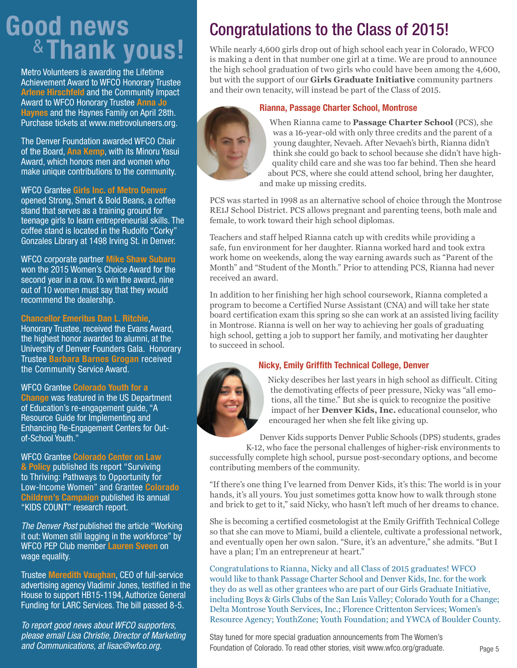## Good news &Thank yous!

Metro Volunteers is awarding the Lifetime Achievement Award to WFCO Honorary Trustee Arlene Hirschfeld and the Community Impact Award to WFCO Honorary Trustee Anna Jo Haynes and the Haynes Family on April 28th. Purchase tickets at www.metrovoluneers.org.

The Denver Foundation awarded WFCO Chair of the Board, Ana Kemp, with its Minoru Yasui Award, which honors men and women who make unique contributions to the community.

#### WFCO Grantee Girls Inc. of Metro Denver

opened Strong, Smart & Bold Beans, a coffee stand that serves as a training ground for teenage girls to learn entrepreneurial skills. The coffee stand is located in the Rudolfo "Corky" Gonzales Library at 1498 Irving St. in Denver.

WFCO corporate partner Mike Shaw Subaru won the 2015 Women's Choice Award for the second year in a row. To win the award, nine out of 10 women must say that they would recommend the dealership.

#### Chancellor Emeritus Dan L. Ritchie,

Honorary Trustee, received the Evans Award, the highest honor awarded to alumni, at the University of Denver Founders Gala. Honorary Trustee Barbara Barnes Grogan received the Community Service Award.

#### WFCO Grantee Colorado Youth for a

Change was featured in the US Department of Education's re-engagement guide, "A Resource Guide for Implementing and Enhancing Re-Engagement Centers for Outof-School Youth."

WFCO Grantee Colorado Center on Law & Policy published its report "Surviving to Thriving: Pathways to Opportunity for Low-Income Women" and Grantee Colorado Children's Campaign published its annual "KIDS COUNT" research report.

*The Denver Post* published the article "Working it out: Women still lagging in the workforce" by WFCO PEP Club member Lauren Sveen on wage equality.

Trustee Meredith Vaughan, CEO of full-service advertising agency Vladimir Jones, testified in the House to support HB15-1194, Authorize General Funding for LARC Services. The bill passed 8-5.

*To report good news about WFCO supporters, please email Lisa Christie, Director of Marketing and Communications, at lisac@wfco.org.* 

## Congratulations to the Class of 2015!

While nearly 4,600 girls drop out of high school each year in Colorado, WFCO is making a dent in that number one girl at a time. We are proud to announce the high school graduation of two girls who could have been among the 4,600, but with the support of our **Girls Graduate Initiative** community partners and their own tenacity, will instead be part of the Class of 2015.

#### Rianna, Passage Charter School, Montrose



When Rianna came to **Passage Charter School** (PCS), she was a 16-year-old with only three credits and the parent of a young daughter, Nevaeh. After Nevaeh's birth, Rianna didn't think she could go back to school because she didn't have highquality child care and she was too far behind. Then she heard about PCS, where she could attend school, bring her daughter, and make up missing credits.

PCS was started in 1998 as an alternative school of choice through the Montrose RE1J School District. PCS allows pregnant and parenting teens, both male and female, to work toward their high school diplomas.

Teachers and staff helped Rianna catch up with credits while providing a safe, fun environment for her daughter. Rianna worked hard and took extra work home on weekends, along the way earning awards such as "Parent of the Month" and "Student of the Month." Prior to attending PCS, Rianna had never received an award.

In addition to her finishing her high school coursework, Rianna completed a program to become a Certified Nurse Assistant (CNA) and will take her state board certification exam this spring so she can work at an assisted living facility in Montrose. Rianna is well on her way to achieving her goals of graduating high school, getting a job to support her family, and motivating her daughter to succeed in school.



#### Nicky, Emily Griffith Technical College, Denver

Nicky describes her last years in high school as difficult. Citing the demotivating effects of peer pressure, Nicky was "all emotions, all the time." But she is quick to recognize the positive impact of her **Denver Kids, Inc.** educational counselor, who encouraged her when she felt like giving up.

Denver Kids supports Denver Public Schools (DPS) students, grades K-12, who face the personal challenges of higher-risk environments to successfully complete high school, pursue post-secondary options, and become contributing members of the community.

"If there's one thing I've learned from Denver Kids, it's this: The world is in your hands, it's all yours. You just sometimes gotta know how to walk through stone and brick to get to it," said Nicky, who hasn't left much of her dreams to chance.

She is becoming a certified cosmetologist at the Emily Griffith Technical College so that she can move to Miami, build a clientele, cultivate a professional network, and eventually open her own salon. "Sure, it's an adventure," she admits. "But I have a plan; I'm an entrepreneur at heart."

Congratulations to Rianna, Nicky and all Class of 2015 graduates! WFCO would like to thank Passage Charter School and Denver Kids, Inc. for the work they do as well as other grantees who are part of our Girls Graduate Initiative, including Boys & Girls Clubs of the San Luis Valley; Colorado Youth for a Change; Delta Montrose Youth Services, Inc.; Florence Crittenton Services; Women's Resource Agency; YouthZone; Youth Foundation; and YWCA of Boulder County.

Stay tuned for more special graduation announcements from The Women's Foundation of Colorado. To read other stories, visit www.wfco.org/graduate.